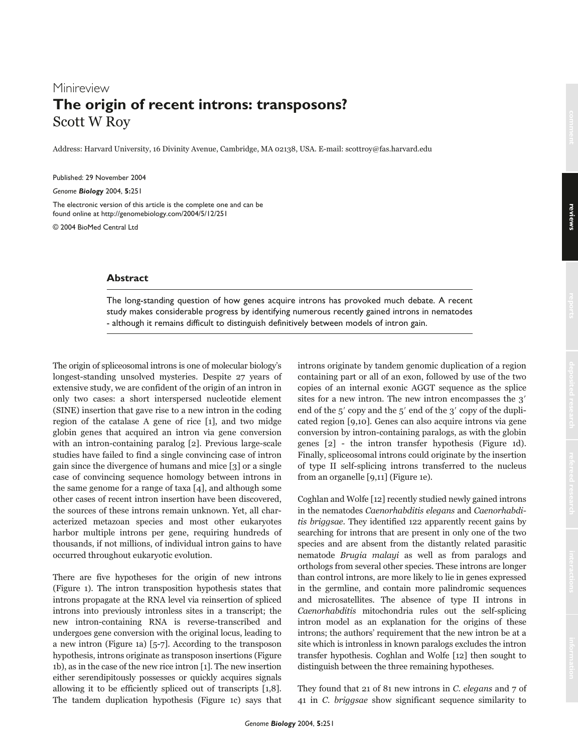# Minireview **The origin of recent introns: transposons?** Scott W Roy

Address: Harvard University, 16 Divinity Avenue, Cambridge, MA 02138, USA. E-mail: scottroy@fas.harvard.edu

Published: 29 November 2004

*Genome Biology* 2004, **5:**251

The electronic version of this article is the complete one and can be found online at http://genomebiology.com/2004/5/12/251

© 2004 BioMed Central Ltd

## **Abstract**

The long-standing question of how genes acquire introns has provoked much debate. A recent study makes considerable progress by identifying numerous recently gained introns in nematodes - although it remains difficult to distinguish definitively between models of intron gain.

The origin of spliceosomal introns is one of molecular biology's longest-standing unsolved mysteries. Despite 27 years of extensive study, we are confident of the origin of an intron in only two cases: a short interspersed nucleotide element (SINE) insertion that gave rise to a new intron in the coding region of the catalase A gene of rice [1], and two midge globin genes that acquired an intron via gene conversion with an intron-containing paralog [2]. Previous large-scale studies have failed to find a single convincing case of intron gain since the divergence of humans and mice [3] or a single case of convincing sequence homology between introns in the same genome for a range of taxa [4], and although some other cases of recent intron insertion have been discovered, the sources of these introns remain unknown. Yet, all characterized metazoan species and most other eukaryotes harbor multiple introns per gene, requiring hundreds of thousands, if not millions, of individual intron gains to have occurred throughout eukaryotic evolution.

There are five hypotheses for the origin of new introns (Figure 1). The intron transposition hypothesis states that introns propagate at the RNA level via reinsertion of spliced introns into previously intronless sites in a transcript; the new intron-containing RNA is reverse-transcribed and undergoes gene conversion with the original locus, leading to a new intron (Figure 1a) [5-7]. According to the transposon hypothesis, introns originate as transposon insertions (Figure 1b), as in the case of the new rice intron [1]. The new insertion either serendipitously possesses or quickly acquires signals allowing it to be efficiently spliced out of transcripts [1,8]. The tandem duplication hypothesis (Figure 1c) says that

introns originate by tandem genomic duplication of a region containing part or all of an exon, followed by use of the two copies of an internal exonic AGGT sequence as the splice sites for a new intron. The new intron encompasses the 3' end of the  $5'$  copy and the  $5'$  end of the  $3'$  copy of the duplicated region [9,10]. Genes can also acquire introns via gene conversion by intron-containing paralogs, as with the globin genes [2] - the intron transfer hypothesis (Figure 1d). Finally, spliceosomal introns could originate by the insertion of type II self-splicing introns transferred to the nucleus from an organelle [9,11] (Figure 1e).

Coghlan and Wolfe [12] recently studied newly gained introns in the nematodes Caenorhabditis elegans and Caenorhabditis briggsae. They identified 122 apparently recent gains by searching for introns that are present in only one of the two species and are absent from the distantly related parasitic nematode Brugia malayi as well as from paralogs and orthologs from several other species. These introns are longer than control introns, are more likely to lie in genes expressed in the germline, and contain more palindromic sequences and microsatellites. The absence of type II introns in Caenorhabditis mitochondria rules out the self-splicing intron model as an explanation for the origins of these introns; the authors' requirement that the new intron be at a site which is intronless in known paralogs excludes the intron transfer hypothesis. Coghlan and Wolfe [12] then sought to distinguish between the three remaining hypotheses.

They found that 21 of 81 new introns in C. elegans and 7 of 41 in C. briggsae show significant sequence similarity to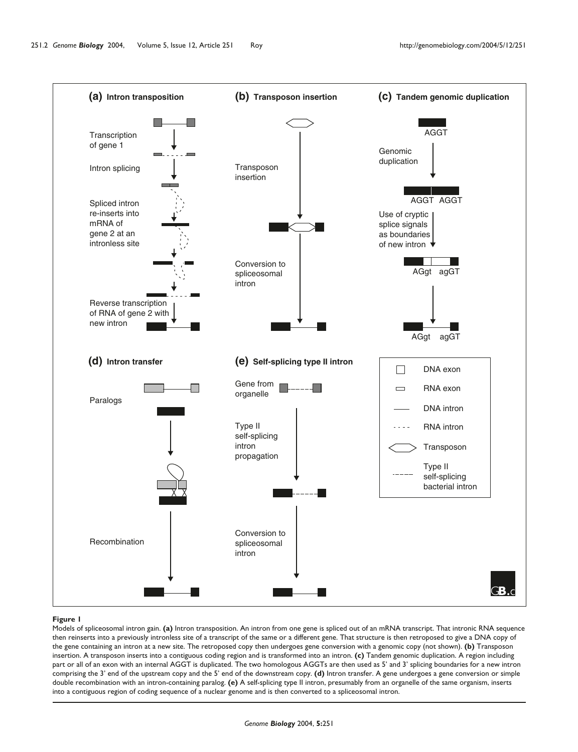

### **Figure 1**

Models of spliceosomal intron gain. **(a)** Intron transposition. An intron from one gene is spliced out of an mRNA transcript. That intronic RNA sequence then reinserts into a previously intronless site of a transcript of the same or a different gene. That structure is then retroposed to give a DNA copy of the gene containing an intron at a new site. The retroposed copy then undergoes gene conversion with a genomic copy (not shown). **(b)** Transposon insertion. A transposon inserts into a contiguous coding region and is transformed into an intron. **(c)** Tandem genomic duplication. A region including part or all of an exon with an internal AGGT is duplicated. The two homologous AGGTs are then used as 5' and 3' splicing boundaries for a new intron comprising the 3' end of the upstream copy and the 5' end of the downstream copy. **(d)** Intron transfer. A gene undergoes a gene conversion or simple double recombination with an intron-containing paralog. **(e)** A self-splicing type II intron, presumably from an organelle of the same organism, inserts into a contiguous region of coding sequence of a nuclear genome and is then converted to a spliceosomal intron.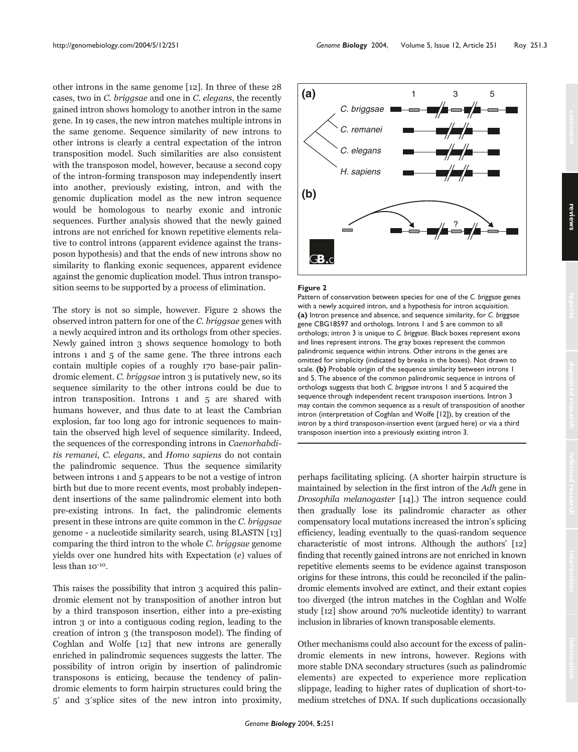other introns in the same genome [12]. In three of these 28 cases, two in C. briggsae and one in C. elegans, the recently gained intron shows homology to another intron in the same gene. In 19 cases, the new intron matches multiple introns in the same genome. Sequence similarity of new introns to other introns is clearly a central expectation of the intron transposition model. Such similarities are also consistent with the transposon model, however, because a second copy of the intron-forming transposon may independently insert into another, previously existing, intron, and with the genomic duplication model as the new intron sequence would be homologous to nearby exonic and intronic sequences. Further analysis showed that the newly gained introns are not enriched for known repetitive elements relative to control introns (apparent evidence against the transposon hypothesis) and that the ends of new introns show no similarity to flanking exonic sequences, apparent evidence against the genomic duplication model. Thus intron transposition seems to be supported by a process of elimination.

The story is not so simple, however. Figure 2 shows the observed intron pattern for one of the C. briggsae genes with a newly acquired intron and its orthologs from other species. Newly gained intron 3 shows sequence homology to both introns 1 and 5 of the same gene. The three introns each contain multiple copies of a roughly 170 base-pair palindromic element. C. briggsae intron 3 is putatively new, so its sequence similarity to the other introns could be due to intron transposition. Introns 1 and 5 are shared with humans however, and thus date to at least the Cambrian explosion, far too long ago for intronic sequences to maintain the observed high level of sequence similarity. Indeed, the sequences of the corresponding introns in Caenorhabditis remanei, C. elegans, and Homo sapiens do not contain the palindromic sequence. Thus the sequence similarity between introns 1 and 5 appears to be not a vestige of intron birth but due to more recent events, most probably independent insertions of the same palindromic element into both pre-existing introns. In fact, the palindromic elements present in these introns are quite common in the C. briggsae genome - a nucleotide similarity search, using BLASTN [13] comparing the third intron to the whole C. briggsae genome yields over one hundred hits with Expectation (e) values of less than 10-10.

This raises the possibility that intron 3 acquired this palindromic element not by transposition of another intron but by a third transposon insertion, either into a pre-existing intron 3 or into a contiguous coding region, leading to the creation of intron 3 (the transposon model). The finding of Coghlan and Wolfe [12] that new introns are generally enriched in palindromic sequences suggests the latter. The possibility of intron origin by insertion of palindromic transposons is enticing, because the tendency of palindromic elements to form hairpin structures could bring the 5 and 3splice sites of the new intron into proximity,



#### **Figure 2**

Pattern of conservation between species for one of the *C. briggsae* genes with a newly acquired intron, and a hypothesis for intron acquisition. **(a)** Intron presence and absence, and sequence similarity, for *C. briggsae* gene CBG18597 and orthologs. Introns 1 and 5 are common to all orthologs; intron 3 is unique to *C. briggsae*. Black boxes represent exons and lines represent introns. The gray boxes represent the common palindromic sequence within introns. Other introns in the genes are omitted for simplicity (indicated by breaks in the boxes). Not drawn to scale. **(b)** Probable origin of the sequence similarity between introns 1 and 5. The absence of the common palindromic sequence in introns of orthologs suggests that both *C. briggsae* introns 1 and 5 acquired the sequence through independent recent transposon insertions. Intron 3 may contain the common sequence as a result of transposition of another intron (interpretation of Coghlan and Wolfe [12]), by creation of the intron by a third transposon-insertion event (argued here) or via a third transposon insertion into a previously existing intron 3.

perhaps facilitating splicing. (A shorter hairpin structure is maintained by selection in the first intron of the Adh gene in Drosophila melanogaster [14].) The intron sequence could then gradually lose its palindromic character as other compensatory local mutations increased the intron's splicing efficiency, leading eventually to the quasi-random sequence characteristic of most introns. Although the authors' [12] finding that recently gained introns are not enriched in known repetitive elements seems to be evidence against transposon origins for these introns, this could be reconciled if the palindromic elements involved are extinct, and their extant copies too diverged (the intron matches in the Coghlan and Wolfe study [12] show around 70% nucleotide identity) to warrant inclusion in libraries of known transposable elements.

Other mechanisms could also account for the excess of palindromic elements in new introns, however. Regions with more stable DNA secondary structures (such as palindromic elements) are expected to experience more replication slippage, leading to higher rates of duplication of short-tomedium stretches of DNA. If such duplications occasionally